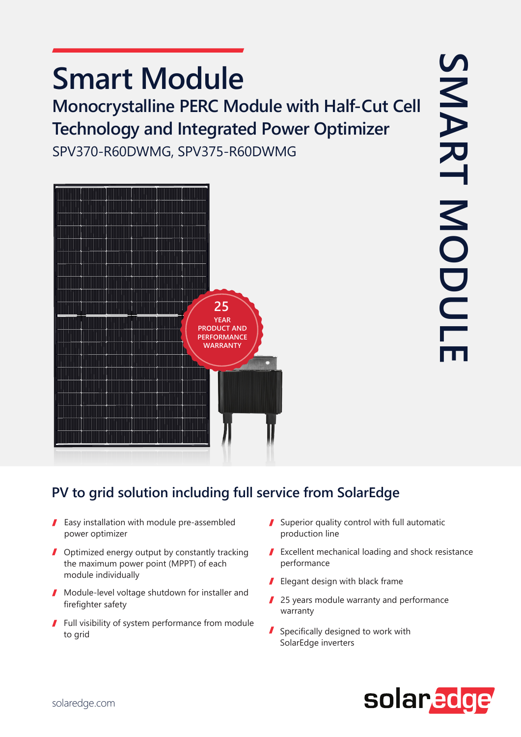# **Smart Module**

**Monocrystalline PERC Module with Half-Cut Cell Technology and Integrated Power Optimizer** 

SPV370-R60DWMG, SPV375-R60DWMG



#### PV to grid solution including full service from SolarEdge

- $\blacksquare$  Easy installation with module pre-assembled power optimizer
- $\blacksquare$  Optimized energy output by constantly tracking the maximum power point (MPPT) of each module individually
- $\blacksquare$  Module-level voltage shutdown for installer and firefighter safety
- $\blacksquare$  Full visibility of system performance from module to grid
- Superior quality control with full automatic production line
- $\blacktriangleright$  Excellent mechanical loading and shock resistance performance
- $\blacksquare$  Elegant design with black frame
- $\blacksquare$  25 years module warranty and performance warranty
- $\blacksquare$  Specifically designed to work with SolarEdge inverters

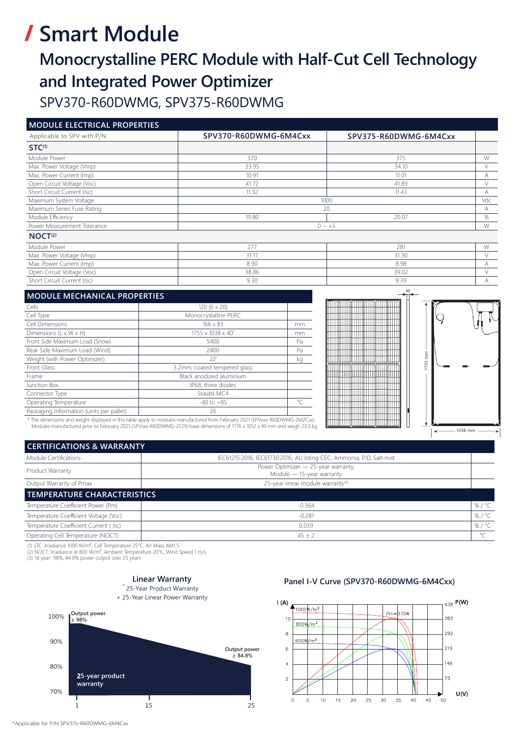# **/ Smart Module**

### **Monocrystalline PERC Module with Half-Cut Cell Technology and Integrated Power Optimizer** SPV370-R60DWMG, SPV375-R60DWMG

#### **MODULE ELECTRICAL DROPERTIES**

| Applicable to SPV with P/N  | SPV370-R60DWMG-6M4Cxx | SPV375-R60DWMG-6M4Cxx |   |
|-----------------------------|-----------------------|-----------------------|---|
| $STC^{(1)}$                 |                       |                       |   |
| Module Power                | 370                   | 375                   | W |
| Max. Power Voltage (Vmp)    | 33.95                 | 34.10                 |   |
| Max. Power Current (Imp)    | 10.91                 | 11.01                 |   |
| Open Circuit Voltage (Voc)  | 41.72                 | 41.89                 |   |
| Short Circuit Current (Isc) | 11.32                 | 11.43                 | д |
| Maximum System Voltage      |                       | 1000                  |   |
| Maximum Series Fuse Rating  |                       | 20                    |   |
| Module Efficiency           | 19.80                 | 20.07                 | % |
| Power Measurement Tolerance |                       | $0 \sim +5$           |   |
| NOCT <sup>(2)</sup>         |                       |                       |   |
| Module Power                | 277                   | 281                   | W |

| Module Power                |       |       |  |
|-----------------------------|-------|-------|--|
| Max. Power Voltage (Vmp)    |       | 31.30 |  |
| Max. Power Current (Imp)    | 8.90  | 8.98  |  |
| Open Circuit Voltage (Voc)  | 38.86 | 39.02 |  |
| Short Circuit Current (Isc) | 9.30  | 9.39  |  |

| <b>MODULE MECHANICAL PROPERTIES</b>      |                              |           |  |
|------------------------------------------|------------------------------|-----------|--|
| Cells                                    | 120 (6 x 20)                 |           |  |
| Cell Type                                | Monocrystalline PERC         |           |  |
| Cell Dimensions                          | $166 \times 83$              | mm        |  |
| Dimensions (L x W x H)                   | 1755 x 1038 x 40*            | mm        |  |
| Front Side Maximum Load (Snow)           | 5400                         | Pa        |  |
| Rear Side Maximum Load (Wind)            | 2400                         | Pa        |  |
| Weight (with Power Optimizer)            | $22^*$                       | ka        |  |
| Front Glass                              | 3.2mm, coated tempered glass |           |  |
| Frame                                    | Black anodized aluminium     |           |  |
| Junction Box                             | IP68, three diodes           |           |  |
| Connector Type                           | Staubli MC4                  |           |  |
| Operating Temperature                    | $-40$ to $+85$               | $\circ$ C |  |
| Packaging Information (units per pallet) | 26                           |           |  |
|                                          |                              |           |  |



\* The dimensions and weight displayed in this table apply to modules manufactured from February 2021 (SPVxxx-R60DWMG-2M2Cxx) Modules manufactured prior to February 2021 (SPVxx-R60DWMG-2C01) have dimensions of 1776 x 1052 x 40 mm and weigh 23.0 kg

| <b>CERTIFICATIONS &amp; WARRANTY</b>  |                                                                       |         |  |
|---------------------------------------|-----------------------------------------------------------------------|---------|--|
| Module Certifications                 | IEC61215:2016, IEC61730:2016, AU listing CEC, Ammonia, PID, Salt-mist |         |  |
| Product Warranty                      | Power Optimizer - 25-year warranty,<br>Module - 15-year warranty      |         |  |
| Output Warranty of Pmax               | 25-year linear module warranty <sup>(3)</sup>                         |         |  |
| <b>TEMPERATURE CHARACTERISTICS</b>    |                                                                       |         |  |
| Temperature Coefficient Power (Pm)    | $-0.364$                                                              | %/ $°C$ |  |
| Temperature Coefficient Voltage (Voc) | $-0.281$                                                              | %/°C    |  |
| Temperature Coefficient Current (Isc) | 0.039                                                                 | %/ $°C$ |  |
| Operating Cell Temperature (NOCT)     | $45 \pm 2$                                                            | $\circ$ |  |

(1) STC: Irradiance 1000 W/m<sup>2</sup>, Cell Temperature 25°C, Air Mass AM1.5<br>(2) NOCT: Irradiance at 800 W/m<sup>2</sup>, Ambient Temperature 20°C, Wind Speed 1 m/s<br>(3) 1st year: 98%, 84.8% power output over 25 years



Panel I-V Curve (SPV370-R60DWMG-6M4Cxx)